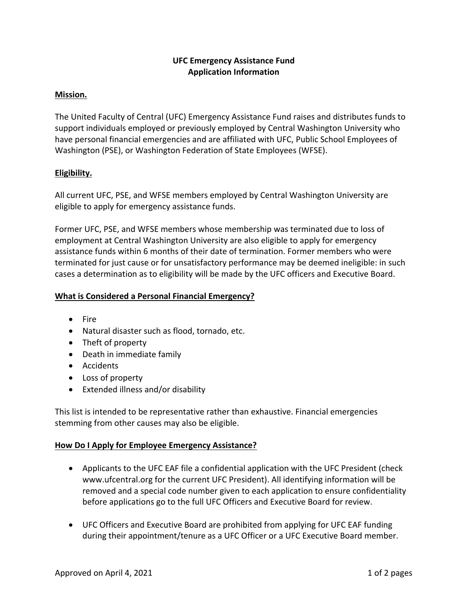# **UFC Emergency Assistance Fund Application Information**

# **Mission.**

The United Faculty of Central (UFC) Emergency Assistance Fund raises and distributes funds to support individuals employed or previously employed by Central Washington University who have personal financial emergencies and are affiliated with UFC, Public School Employees of Washington (PSE), or Washington Federation of State Employees (WFSE).

# **Eligibility.**

All current UFC, PSE, and WFSE members employed by Central Washington University are eligible to apply for emergency assistance funds.

Former UFC, PSE, and WFSE members whose membership was terminated due to loss of employment at Central Washington University are also eligible to apply for emergency assistance funds within 6 months of their date of termination. Former members who were terminated for just cause or for unsatisfactory performance may be deemed ineligible: in such cases a determination as to eligibility will be made by the UFC officers and Executive Board.

### **What is Considered a Personal Financial Emergency?**

- Fire
- Natural disaster such as flood, tornado, etc.
- Theft of property
- Death in immediate family
- Accidents
- Loss of property
- Extended illness and/or disability

This list is intended to be representative rather than exhaustive. Financial emergencies stemming from other causes may also be eligible.

### **How Do I Apply for Employee Emergency Assistance?**

- Applicants to the UFC EAF file a confidential application with the UFC President (check www.ufcentral.org for the current UFC President). All identifying information will be removed and a special code number given to each application to ensure confidentiality before applications go to the full UFC Officers and Executive Board for review.
- UFC Officers and Executive Board are prohibited from applying for UFC EAF funding during their appointment/tenure as a UFC Officer or a UFC Executive Board member.